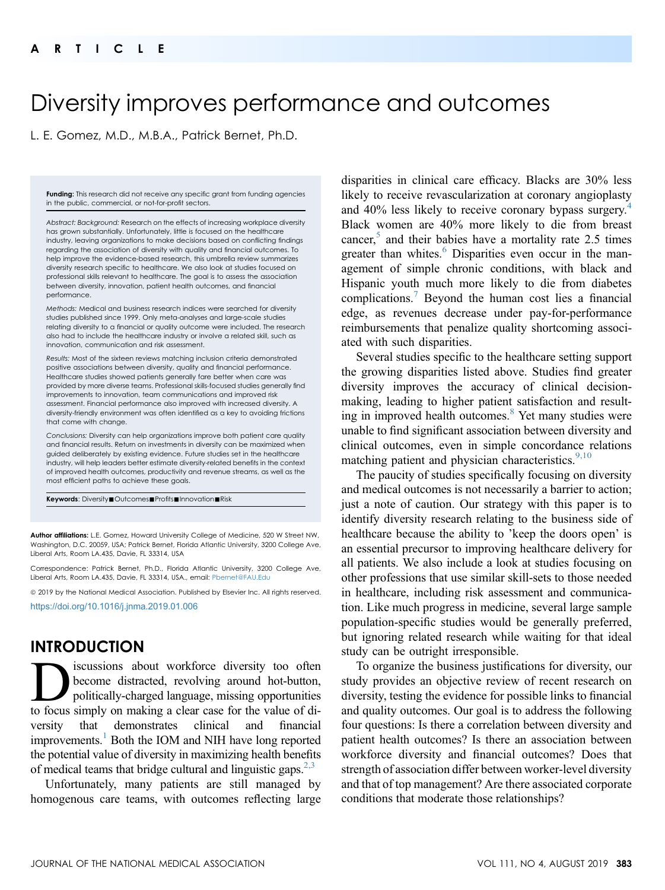# Diversity improves performance and outcomes

L. E. Gomez, M.D., M.B.A., Patrick Bernet, Ph.D.

**Funding:** This research did not receive any specific grant from funding gaencies in the public, commercial, or not-for-profit sectors.

Abstract: Background: Research on the effects of increasing workplace diversity has grown substantially. Unfortunately, little is focused on the healthcare industry, leaving organizations to make decisions based on conflicting findings regarding the association of diversity with quality and financial outcomes. To help improve the evidence-based research, this umbrella review summarizes diversity research specific to healthcare. We also look at studies focused on professional skills relevant to healthcare. The goal is to assess the association between diversity, innovation, patient health outcomes, and financial performance.

Methods: Medical and business research indices were searched for diversity studies published since 1999. Only meta-analyses and large-scale studies relating diversity to a financial or quality outcome were included. The research also had to include the healthcare industry or involve a related skill, such as innovation, communication and risk assessment.

Results: Most of the sixteen reviews matching inclusion criteria demonstrated positive associations between diversity, quality and financial performance. Healthcare studies showed patients generally fare better when care was provided by more diverse teams. Professional skills-focused studies generally find improvements to innovation, team communications and improved risk assessment. Financial performance also improved with increased diversity. A diversity-friendly environment was often identified as a key to avoiding frictions that come with change.

Conclusions: Diversity can help organizations improve both patient care quality and financial results. Return on investments in diversity can be maximized when guided deliberately by existing evidence. Future studies set in the healthcare industry, will help leaders better estimate diversity-related benefits in the context of improved health outcomes, productivity and revenue streams, as well as the most efficient paths to achieve these goals.

Keywords: Diversity Outcomes Profits Innovation Risk

Author affiliations: L.E. Gomez, Howard University College of Medicine, 520 W Street NW, Washington, D.C. 20059, USA; Patrick Bernet, Florida Atlantic University, 3200 College Ave, Liberal Arts, Room LA.435, Davie, FL 33314, USA

Correspondence: Patrick Bernet, Ph.D., Florida Atlantic University, 3200 College Ave, Liberal Arts, Room LA.435, Davie, FL 33314, USA., email: [Pbernet@FAU.Edu](mailto:Pbernet@FAU.Edu)

 $@$  2019 by the National Medical Association. Published by Elsevier Inc. All rights reserved. <https://doi.org/10.1016/j.jnma.2019.01.006>

## INTRODUCTION

**11** iscussions about workforce diversity too often<br>become distracted, revolving around hot-button,<br>politically-charged language, missing opportunities<br>to focus simply on making a clear case for the value of dibecome distracted, revolving around hot-button, politically-charged language, missing opportunities to focus simply on making a clear case for the value of diversity that demonstrates clinical and financial improvements.<sup>1</sup> Both the IOM and NIH have long reported the potential value of diversity in maximizing health benefits of medical teams that bridge cultural and linguistic gaps. $2,3$ 

Unfortunately, many patients are still managed by homogenous care teams, with outcomes reflecting large

disparities in clinical care efficacy. Blacks are 30% less likely to receive revascularization at coronary angioplasty and [4](#page-8-0)0% less likely to receive coronary bypass surgery.<sup>4</sup> Black women are 40% more likely to die from breast cancer,<sup>[5](#page-8-0)</sup> and their babies have a mortality rate 2.5 times greater than whites.<sup>6</sup> Disparities even occur in the management of simple chronic conditions, with black and Hispanic youth much more likely to die from diabetes complications.[7](#page-9-0) Beyond the human cost lies a financial edge, as revenues decrease under pay-for-performance reimbursements that penalize quality shortcoming associated with such disparities.

Several studies specific to the healthcare setting support the growing disparities listed above. Studies find greater diversity improves the accuracy of clinical decisionmaking, leading to higher patient satisfaction and result-ing in improved health outcomes.<sup>[8](#page-9-0)</sup> Yet many studies were unable to find significant association between diversity and clinical outcomes, even in simple concordance relations matching patient and physician characteristics.<sup>[9,10](#page-9-0)</sup>

The paucity of studies specifically focusing on diversity and medical outcomes is not necessarily a barrier to action; just a note of caution. Our strategy with this paper is to identify diversity research relating to the business side of healthcare because the ability to 'keep the doors open' is an essential precursor to improving healthcare delivery for all patients. We also include a look at studies focusing on other professions that use similar skill-sets to those needed in healthcare, including risk assessment and communication. Like much progress in medicine, several large sample population-specific studies would be generally preferred, but ignoring related research while waiting for that ideal study can be outright irresponsible.

To organize the business justifications for diversity, our study provides an objective review of recent research on diversity, testing the evidence for possible links to financial and quality outcomes. Our goal is to address the following four questions: Is there a correlation between diversity and patient health outcomes? Is there an association between workforce diversity and financial outcomes? Does that strength of association differ between worker-level diversity and that of top management? Are there associated corporate conditions that moderate those relationships?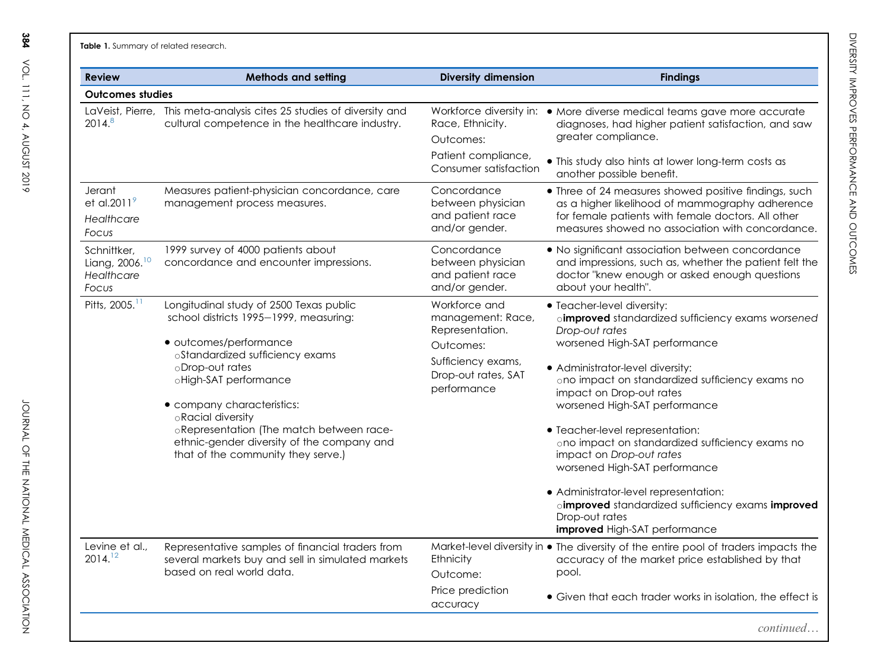<span id="page-1-0"></span>**Table 1.** Summary of related research.

| <b>Review</b>                                                    | <b>Methods and setting</b>                                                                                                                                                                                                                                                                                                                                                     | <b>Diversity dimension</b>                                                                                                     | <b>Findings</b>                                                                                                                                                                                                                                                                                                                                                                                                                                                                                                                                                                            |
|------------------------------------------------------------------|--------------------------------------------------------------------------------------------------------------------------------------------------------------------------------------------------------------------------------------------------------------------------------------------------------------------------------------------------------------------------------|--------------------------------------------------------------------------------------------------------------------------------|--------------------------------------------------------------------------------------------------------------------------------------------------------------------------------------------------------------------------------------------------------------------------------------------------------------------------------------------------------------------------------------------------------------------------------------------------------------------------------------------------------------------------------------------------------------------------------------------|
| <b>Outcomes studies</b>                                          |                                                                                                                                                                                                                                                                                                                                                                                |                                                                                                                                |                                                                                                                                                                                                                                                                                                                                                                                                                                                                                                                                                                                            |
| LaVeist, Pierre,<br>2014 <sup>8</sup>                            | This meta-analysis cites 25 studies of diversity and<br>cultural competence in the healthcare industry.                                                                                                                                                                                                                                                                        | Race, Ethnicity.<br>Outcomes:<br>Patient compliance,<br>Consumer satisfaction                                                  | Workforce diversity in: • More diverse medical teams gave more accurate<br>diagnoses, had higher patient satisfaction, and saw<br>greater compliance.<br>• This study also hints at lower long-term costs as<br>another possible benefit.                                                                                                                                                                                                                                                                                                                                                  |
| Jerant<br>et al.2011 <sup>9</sup><br>Healthcare<br>Focus         | Measures patient-physician concordance, care<br>management process measures.                                                                                                                                                                                                                                                                                                   | Concordance<br>between physician<br>and patient race<br>and/or gender.                                                         | • Three of 24 measures showed positive findings, such<br>as a higher likelihood of mammography adherence<br>for female patients with female doctors. All other<br>measures showed no association with concordance.                                                                                                                                                                                                                                                                                                                                                                         |
| Schnittker,<br>Liang, 2006. <sup>10</sup><br>Healthcare<br>Focus | 1999 survey of 4000 patients about<br>concordance and encounter impressions.                                                                                                                                                                                                                                                                                                   | Concordance<br>between physician<br>and patient race<br>and/or gender.                                                         | . No significant association between concordance<br>and impressions, such as, whether the patient felt the<br>doctor "knew enough or asked enough questions<br>about your health".                                                                                                                                                                                                                                                                                                                                                                                                         |
| Pitts, 2005. <sup>11</sup>                                       | Longitudinal study of 2500 Texas public<br>school districts 1995-1999, measuring:<br>• outcomes/performance<br>oStandardized sufficiency exams<br>oDrop-out rates<br>oHigh-SAT performance<br>• company characteristics:<br>o Racial diversity<br>oRepresentation (The match between race-<br>ethnic-gender diversity of the company and<br>that of the community they serve.) | Workforce and<br>management: Race,<br>Representation.<br>Outcomes:<br>Sufficiency exams,<br>Drop-out rates, SAT<br>performance | • Teacher-level diversity:<br>oimproved standardized sufficiency exams worsened<br>Drop-out rates<br>worsened High-SAT performance<br>• Administrator-level diversity:<br>ono impact on standardized sufficiency exams no<br>impact on Drop-out rates<br>worsened High-SAT performance<br>• Teacher-level representation:<br>ono impact on standardized sufficiency exams no<br>impact on Drop-out rates<br>worsened High-SAT performance<br>· Administrator-level representation:<br>oimproved standardized sufficiency exams improved<br>Drop-out rates<br>improved High-SAT performance |
| Levine et al.,<br>2014. <sup>12</sup>                            | Representative samples of financial traders from<br>several markets buy and sell in simulated markets<br>based on real world data.                                                                                                                                                                                                                                             | Ethnicity<br>Outcome:                                                                                                          | Market-level diversity in • The diversity of the entire pool of traders impacts the<br>accuracy of the market price established by that<br>pool.                                                                                                                                                                                                                                                                                                                                                                                                                                           |
|                                                                  |                                                                                                                                                                                                                                                                                                                                                                                | Price prediction<br>accuracy                                                                                                   | • Given that each trader works in isolation, the effect is                                                                                                                                                                                                                                                                                                                                                                                                                                                                                                                                 |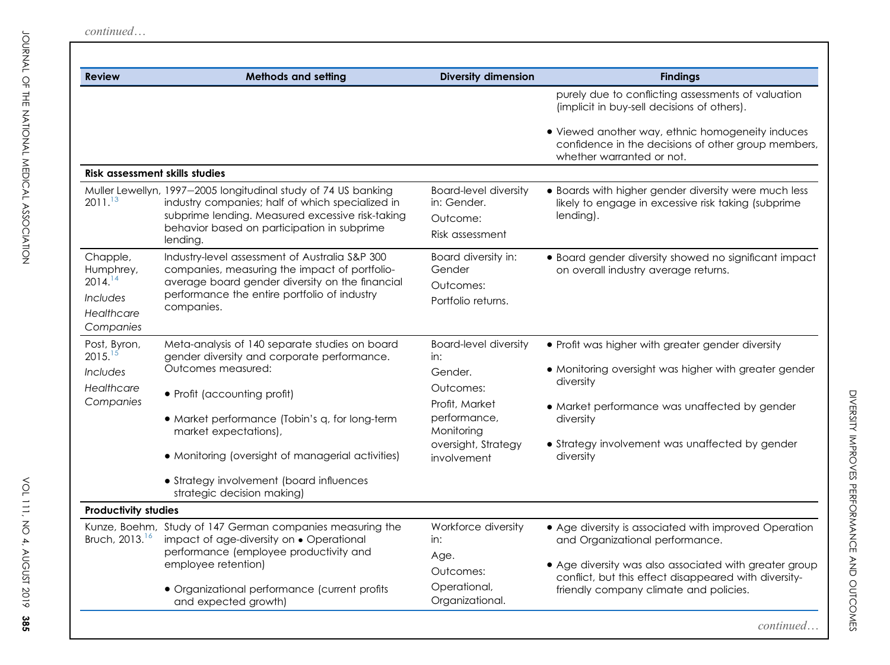continued .

| <b>Review</b>                                                               | <b>Methods and setting</b>                                                                                                                                                                                                        | <b>Diversity dimension</b>                                                 | <b>Findings</b>                                                                                                                                           |
|-----------------------------------------------------------------------------|-----------------------------------------------------------------------------------------------------------------------------------------------------------------------------------------------------------------------------------|----------------------------------------------------------------------------|-----------------------------------------------------------------------------------------------------------------------------------------------------------|
|                                                                             |                                                                                                                                                                                                                                   |                                                                            | purely due to conflicting assessments of valuation<br>(implicit in buy-sell decisions of others).                                                         |
|                                                                             |                                                                                                                                                                                                                                   |                                                                            | • Viewed another way, ethnic homogeneity induces<br>confidence in the decisions of other group members,<br>whether warranted or not.                      |
| Risk assessment skills studies                                              |                                                                                                                                                                                                                                   |                                                                            |                                                                                                                                                           |
| 2011. <sup>13</sup>                                                         | Muller Lewellyn, 1997-2005 longitudinal study of 74 US banking<br>industry companies; half of which specialized in<br>subprime lending. Measured excessive risk-taking<br>behavior based on participation in subprime<br>lending. | <b>Board-level diversity</b><br>in: Gender.<br>Outcome:<br>Risk assessment | • Boards with higher gender diversity were much less<br>likely to engage in excessive risk taking (subprime<br>lending).                                  |
| Chapple,<br>Humphrey,<br>$2014^{14}$<br>Includes<br>Healthcare<br>Companies | Industry-level assessment of Australia S&P 300<br>companies, measuring the impact of portfolio-<br>average board gender diversity on the financial<br>performance the entire portfolio of industry<br>companies.                  | Board diversity in:<br>Gender<br>Outcomes:<br>Portfolio returns.           | • Board gender diversity showed no significant impact<br>on overall industry average returns.                                                             |
| Post, Byron,<br>2015. <sup>15</sup><br><i><u><b>Includes</b></u></i>        | Meta-analysis of 140 separate studies on board<br>gender diversity and corporate performance.<br>Outcomes measured:                                                                                                               | <b>Board-level diversity</b><br>in:<br>Gender.                             | • Profit was higher with greater gender diversity<br>• Monitoring oversight was higher with greater gender                                                |
| Healthcare<br>Companies                                                     | • Profit (accounting profit)                                                                                                                                                                                                      | Outcomes:<br>Profit, Market                                                | diversity<br>• Market performance was unaffected by gender                                                                                                |
|                                                                             | · Market performance (Tobin's q, for long-term<br>market expectations),                                                                                                                                                           | performance,<br>Monitoring<br>oversight, Strategy                          | diversity<br>• Strategy involvement was unaffected by gender                                                                                              |
|                                                                             | • Monitoring (oversight of managerial activities)                                                                                                                                                                                 | involvement                                                                | diversity                                                                                                                                                 |
|                                                                             | • Strategy involvement (board influences<br>strategic decision making)                                                                                                                                                            |                                                                            |                                                                                                                                                           |
| <b>Productivity studies</b>                                                 |                                                                                                                                                                                                                                   |                                                                            |                                                                                                                                                           |
| Bruch, 2013. <sup>16</sup>                                                  | Kunze, Boehm, Study of 147 German companies measuring the<br>impact of age-diversity on . Operational<br>performance (employee productivity and<br>employee retention)                                                            | Workforce diversity<br>in:<br>Age.                                         | • Age diversity is associated with improved Operation<br>and Organizational performance.                                                                  |
|                                                                             | • Organizational performance (current profits<br>and expected growth)                                                                                                                                                             | Outcomes:<br>Operational,<br>Organizational.                               | • Age diversity was also associated with greater group<br>conflict, but this effect disappeared with diversity-<br>friendly company climate and policies. |
|                                                                             |                                                                                                                                                                                                                                   |                                                                            | continued                                                                                                                                                 |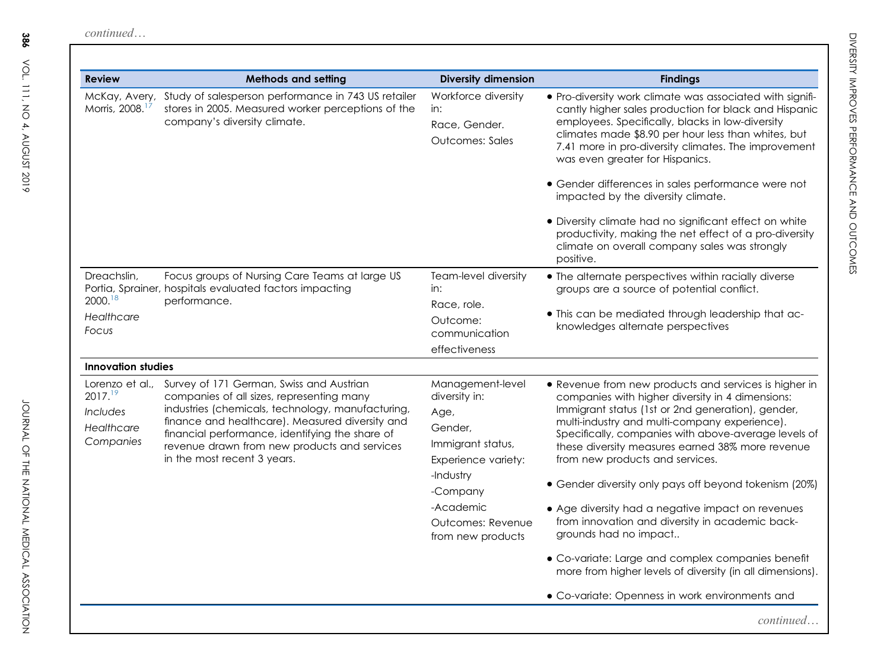continued .

386

VOL. 111, NO 4, AUGUST 2019

| <b>Review</b>                                                                        | <b>Methods and setting</b>                                                                                                                                                                                                                                                                                                      | <b>Diversity dimension</b>                                                                                                                                                       | <b>Findings</b>                                                                                                                                                                                                                                                                                                                                                                                                                                                                                                                                                                                                                                                             |
|--------------------------------------------------------------------------------------|---------------------------------------------------------------------------------------------------------------------------------------------------------------------------------------------------------------------------------------------------------------------------------------------------------------------------------|----------------------------------------------------------------------------------------------------------------------------------------------------------------------------------|-----------------------------------------------------------------------------------------------------------------------------------------------------------------------------------------------------------------------------------------------------------------------------------------------------------------------------------------------------------------------------------------------------------------------------------------------------------------------------------------------------------------------------------------------------------------------------------------------------------------------------------------------------------------------------|
| McKay, Avery,<br>Morris, 2008. <sup>17</sup>                                         | Study of salesperson performance in 743 US retailer<br>stores in 2005. Measured worker perceptions of the<br>company's diversity climate.                                                                                                                                                                                       | Workforce diversity<br>in:<br>Race, Gender.<br><b>Outcomes: Sales</b>                                                                                                            | • Pro-diversity work climate was associated with signifi-<br>cantly higher sales production for black and Hispanic<br>employees. Specifically, blacks in low-diversity<br>climates made \$8.90 per hour less than whites, but<br>7.41 more in pro-diversity climates. The improvement<br>was even greater for Hispanics.<br>• Gender differences in sales performance were not<br>impacted by the diversity climate.<br>• Diversity climate had no significant effect on white<br>productivity, making the net effect of a pro-diversity<br>climate on overall company sales was strongly<br>positive.                                                                      |
| Dreachslin,<br>2000.18<br>Healthcare<br>Focus                                        | Focus groups of Nursing Care Teams at large US<br>Portia, Sprainer, hospitals evaluated factors impacting<br>performance.                                                                                                                                                                                                       | Team-level diversity<br>in:<br>Race, role.<br>Outcome:<br>communication<br>effectiveness                                                                                         | • The alternate perspectives within racially diverse<br>groups are a source of potential conflict.<br>• This can be mediated through leadership that ac-<br>knowledges alternate perspectives                                                                                                                                                                                                                                                                                                                                                                                                                                                                               |
| <b>Innovation studies</b>                                                            |                                                                                                                                                                                                                                                                                                                                 |                                                                                                                                                                                  |                                                                                                                                                                                                                                                                                                                                                                                                                                                                                                                                                                                                                                                                             |
| Lorenzo et al.,<br>2017. <sup>19</sup><br><b>Includes</b><br>Healthcare<br>Companies | Survey of 171 German, Swiss and Austrian<br>companies of all sizes, representing many<br>industries (chemicals, technology, manufacturing,<br>finance and healthcare). Measured diversity and<br>financial performance, identifying the share of<br>revenue drawn from new products and services<br>in the most recent 3 years. | Management-level<br>diversity in:<br>Age,<br>Gender,<br>Immigrant status,<br>Experience variety:<br>-Industry<br>-Company<br>-Academic<br>Outcomes: Revenue<br>from new products | • Revenue from new products and services is higher in<br>companies with higher diversity in 4 dimensions:<br>Immigrant status (1st or 2nd generation), gender,<br>multi-industry and multi-company experience).<br>Specifically, companies with above-average levels of<br>these diversity measures earned 38% more revenue<br>from new products and services.<br>• Gender diversity only pays off beyond tokenism (20%)<br>• Age diversity had a negative impact on revenues<br>from innovation and diversity in academic back-<br>grounds had no impact<br>• Co-variate: Large and complex companies benefit<br>more from higher levels of diversity (in all dimensions). |
|                                                                                      |                                                                                                                                                                                                                                                                                                                                 |                                                                                                                                                                                  | • Co-variate: Openness in work environments and                                                                                                                                                                                                                                                                                                                                                                                                                                                                                                                                                                                                                             |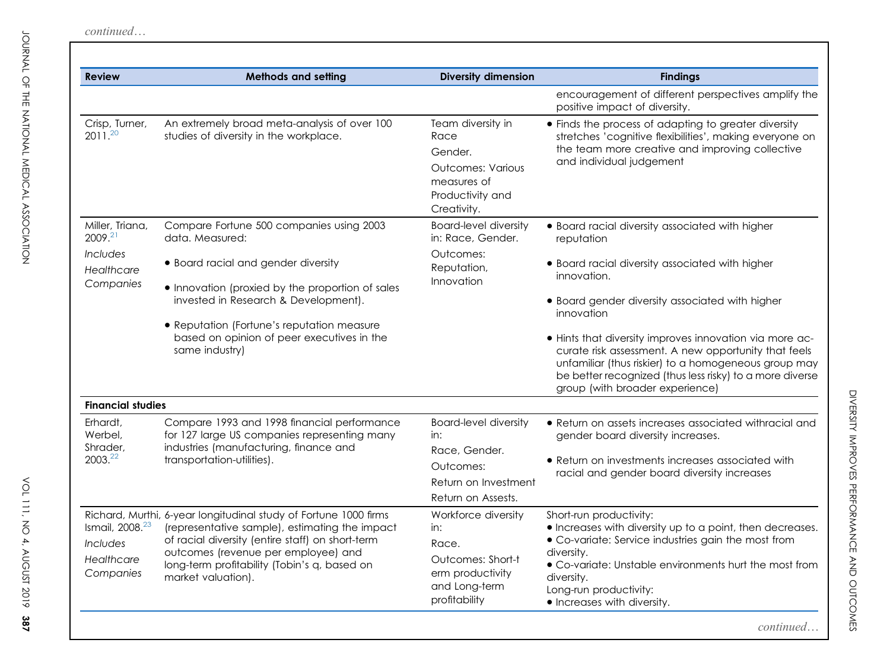| <b>Review</b>                                                                           | <b>Methods and setting</b>                                                                                                                                                                                                                                                          | <b>Diversity dimension</b>                                                                                         | <b>Findings</b>                                                                                                                                                                                                                                                                            |
|-----------------------------------------------------------------------------------------|-------------------------------------------------------------------------------------------------------------------------------------------------------------------------------------------------------------------------------------------------------------------------------------|--------------------------------------------------------------------------------------------------------------------|--------------------------------------------------------------------------------------------------------------------------------------------------------------------------------------------------------------------------------------------------------------------------------------------|
|                                                                                         |                                                                                                                                                                                                                                                                                     |                                                                                                                    | encouragement of different perspectives amplify the<br>positive impact of diversity.                                                                                                                                                                                                       |
| Crisp, Turner,<br>2011.20                                                               | An extremely broad meta-analysis of over 100<br>studies of diversity in the workplace.                                                                                                                                                                                              | Team diversity in<br>Race<br>Gender.<br><b>Outcomes: Various</b><br>measures of<br>Productivity and<br>Creativity. | • Finds the process of adapting to greater diversity<br>stretches 'cognitive flexibilities', making everyone on<br>the team more creative and improving collective<br>and individual judgement                                                                                             |
| Miller, Triana,<br>2009. <sup>21</sup><br><i><u><b>Includes</b></u></i>                 | Compare Fortune 500 companies using 2003<br>data. Measured:                                                                                                                                                                                                                         | <b>Board-level diversity</b><br>in: Race, Gender.<br>Outcomes:                                                     | . Board racial diversity associated with higher<br>reputation                                                                                                                                                                                                                              |
| Healthcare<br>Companies                                                                 | • Board racial and gender diversity<br>• Innovation (proxied by the proportion of sales                                                                                                                                                                                             | Reputation,<br>Innovation                                                                                          | • Board racial diversity associated with higher<br>innovation.                                                                                                                                                                                                                             |
|                                                                                         | invested in Research & Development).                                                                                                                                                                                                                                                |                                                                                                                    | • Board gender diversity associated with higher<br>innovation                                                                                                                                                                                                                              |
|                                                                                         | • Reputation (Fortune's reputation measure<br>based on opinion of peer executives in the<br>same industry)                                                                                                                                                                          |                                                                                                                    | • Hints that diversity improves innovation via more ac-<br>curate risk assessment. A new opportunity that feels<br>unfamiliar (thus riskier) to a homogeneous group may<br>be better recognized (thus less risky) to a more diverse<br>group (with broader experience)                     |
| <b>Financial studies</b>                                                                |                                                                                                                                                                                                                                                                                     |                                                                                                                    |                                                                                                                                                                                                                                                                                            |
| Erhardt.<br>Werbel,<br>Shrader,                                                         | Compare 1993 and 1998 financial performance<br>for 127 large US companies representing many<br>industries (manufacturing, finance and                                                                                                                                               | <b>Board-level diversity</b><br>in:                                                                                | . Return on assets increases associated withracial and<br>gender board diversity increases.                                                                                                                                                                                                |
| 2003.22                                                                                 | transportation-utilities).                                                                                                                                                                                                                                                          | Race, Gender.<br>Outcomes:<br>Return on Investment<br>Return on Assests.                                           | • Return on investments increases associated with<br>racial and gender board diversity increases                                                                                                                                                                                           |
| Ismail, 2008. <sup>23</sup><br><i><u><b>Includes</b></u></i><br>Healthcare<br>Companies | Richard, Murthi, 6-year longitudinal study of Fortune 1000 firms<br>(representative sample), estimating the impact<br>of racial diversity (entire staff) on short-term<br>outcomes (revenue per employee) and<br>long-term profitability (Tobin's q, based on<br>market valuation). | Workforce diversity<br>in:<br>Race.<br>Outcomes: Short-t<br>erm productivity<br>and Long-term<br>profitability     | Short-run productivity:<br>• Increases with diversity up to a point, then decreases.<br>• Co-variate: Service industries gain the most from<br>diversity.<br>• Co-variate: Unstable environments hurt the most from<br>diversity.<br>Long-run productivity:<br>• Increases with diversity. |

VOL 111, NO 4, AUGUST 2019 387

continued .

DIVERSITY IMPROVES PERFORMANCE AND OUTCOMES

DIVERSILY INVESTMENT OF AND OUTOONAL STARS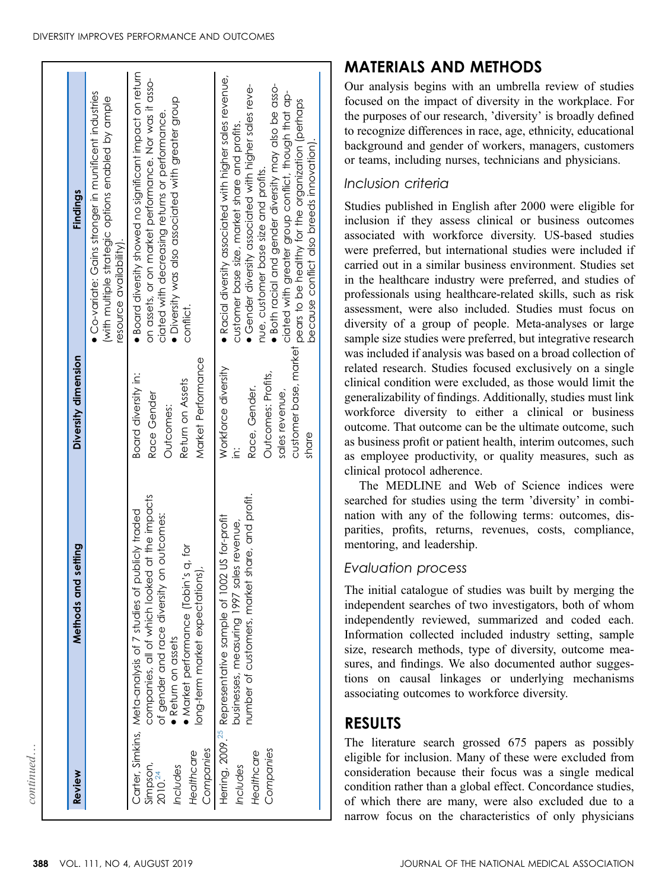| Review                                                     | Methods and setting                                                                                                                                                                                                                                            | Diversity dimension                                                                       | Findings                                                                                                                                                                                                                                                                                                                                                                                                                                          |
|------------------------------------------------------------|----------------------------------------------------------------------------------------------------------------------------------------------------------------------------------------------------------------------------------------------------------------|-------------------------------------------------------------------------------------------|---------------------------------------------------------------------------------------------------------------------------------------------------------------------------------------------------------------------------------------------------------------------------------------------------------------------------------------------------------------------------------------------------------------------------------------------------|
|                                                            |                                                                                                                                                                                                                                                                |                                                                                           | Co-variate: Gains stronger in munificent industries<br>(with multiple strategic options enabled by ample)<br>resource availability).                                                                                                                                                                                                                                                                                                              |
| Companies<br>Healthcare<br>Simpson,<br>Includes<br>2010.24 | companies, all of which looked at the impacts<br>Carter, Simkins, Meta-analysis of 7 studies of publicly traded<br>of gender and race diversity on outcomes:<br>a, for<br>long-term market expectations).<br>• Market performance (Tobin's<br>Return on assets | Market Performance<br>Board diversity in:<br>Return on Assets<br>Race Gender<br>Outcomes: | $\bullet$ Board diversity showed no significant impact on return<br>on assets, or on market performance. Nor was it asso-<br>· Diversity was also associated with greater group<br>ciated with decreasing returns or performance.<br>conflict.                                                                                                                                                                                                    |
| Companies<br>Healthcare<br>Includes                        | number of customers, market share, and profit.<br>Herring, 2009. <sup>25</sup> Representative sample of 1002 US for-profit<br>businesses, measuring 1997 sales revenue,                                                                                        | Workforce diversity<br>Outcomes: Profits,<br>Race, Gender.<br>sales revenue,<br>share     | • Racial diversity associated with higher sales revenue,<br>• Both racial and gender diversity may also be asso-<br>· Gender diversity associated with higher sales reve-<br>ciated with greater group conflict, though that ap-<br>customer base, market pears to be healthy for the organization (perhaps<br>customer base size, market share and profits.<br>because conflict also breeds innovation).<br>nue, customer base size and profits. |

# MATERIALS AND METHODS

Our analysis begins with an umbrella review of studies focused on the impact of diversity in the workplace. For the purposes of our research, 'diversity' is broadly defined to recognize differences in race, age, ethnicity, educational background and gender of workers, managers, customers or teams, including nurses, technicians and physicians.

#### Inclusion criteria

Studies published in English after 2000 were eligible for inclusion if they assess clinical or business outcomes associated with workforce diversity. US-based studies were preferred, but international studies were included if carried out in a similar business environment. Studies set in the healthcare industry were preferred, and studies of professionals using healthcare-related skills, such as risk assessment, were also included. Studies must focus on diversity of a group of people. Meta-analyses or large sample size studies were preferred, but integrative research was included if analysis was based on a broad collection of related research. Studies focused exclusively on a single clinical condition were excluded, as those would limit the generalizability of findings. Additionally, studies must link workforce diversity to either a clinical or business outcome. That outcome can be the ultimate outcome, such as business profit or patient health, interim outcomes, such as employee productivity, or quality measures, such as clinical protocol adherence.

The MEDLINE and Web of Science indices were searched for studies using the term 'diversity' in combination with any of the following terms: outcomes, disparities, profits, returns, revenues, costs, compliance, mentoring, and leadership.

## Evaluation process

The initial catalogue of studies was built by merging the independent searches of two investigators, both of whom independently reviewed, summarized and coded each. Information collected included industry setting, sample size, research methods, type of diversity, outcome measures, and findings. We also documented author suggestions on causal linkages or underlying mechanisms associating outcomes to workforce diversity.

# RESULTS

The literature search grossed 675 papers as possibly eligible for inclusion. Many of these were excluded from consideration because their focus was a single medical condition rather than a global effect. Concordance studies, of which there are many, were also excluded due to a narrow focus on the characteristics of only physicians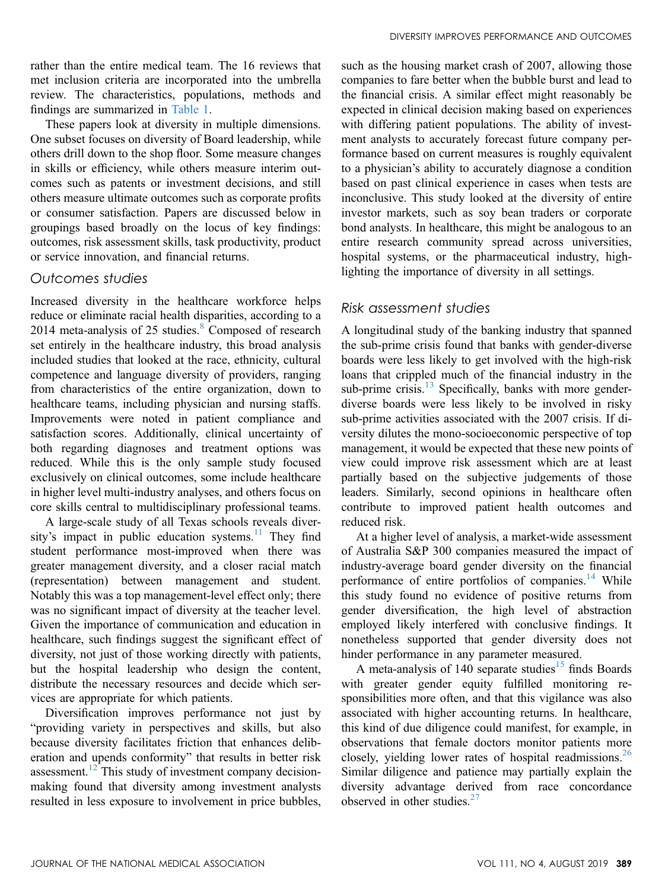rather than the entire medical team. The 16 reviews that met inclusion criteria are incorporated into the umbrella review. The characteristics, populations, methods and findings are summarized in [Table 1.](#page-1-0)

These papers look at diversity in multiple dimensions. One subset focuses on diversity of Board leadership, while others drill down to the shop floor. Some measure changes in skills or efficiency, while others measure interim outcomes such as patents or investment decisions, and still others measure ultimate outcomes such as corporate profits or consumer satisfaction. Papers are discussed below in groupings based broadly on the locus of key findings: outcomes, risk assessment skills, task productivity, product or service innovation, and financial returns.

#### Outcomes studies

Increased diversity in the healthcare workforce helps reduce or eliminate racial health disparities, according to a 2014 meta-analysis of  $25$  studies.<sup>[8](#page-9-0)</sup> Composed of research set entirely in the healthcare industry, this broad analysis included studies that looked at the race, ethnicity, cultural competence and language diversity of providers, ranging from characteristics of the entire organization, down to healthcare teams, including physician and nursing staffs. Improvements were noted in patient compliance and satisfaction scores. Additionally, clinical uncertainty of both regarding diagnoses and treatment options was reduced. While this is the only sample study focused exclusively on clinical outcomes, some include healthcare in higher level multi-industry analyses, and others focus on core skills central to multidisciplinary professional teams.

A large-scale study of all Texas schools reveals diver-sity's impact in public education systems.<sup>[11](#page-9-0)</sup> They find student performance most-improved when there was greater management diversity, and a closer racial match (representation) between management and student. Notably this was a top management-level effect only; there was no significant impact of diversity at the teacher level. Given the importance of communication and education in healthcare, such findings suggest the significant effect of diversity, not just of those working directly with patients, but the hospital leadership who design the content, distribute the necessary resources and decide which services are appropriate for which patients.

Diversification improves performance not just by "providing variety in perspectives and skills, but also because diversity facilitates friction that enhances deliberation and upends conformity" that results in better risk assessment.<sup>[12](#page-9-0)</sup> This study of investment company decisionmaking found that diversity among investment analysts resulted in less exposure to involvement in price bubbles, such as the housing market crash of 2007, allowing those companies to fare better when the bubble burst and lead to the financial crisis. A similar effect might reasonably be expected in clinical decision making based on experiences with differing patient populations. The ability of investment analysts to accurately forecast future company performance based on current measures is roughly equivalent to a physician's ability to accurately diagnose a condition based on past clinical experience in cases when tests are inconclusive. This study looked at the diversity of entire investor markets, such as soy bean traders or corporate bond analysts. In healthcare, this might be analogous to an entire research community spread across universities, hospital systems, or the pharmaceutical industry, highlighting the importance of diversity in all settings.

#### Risk assessment studies

A longitudinal study of the banking industry that spanned the sub-prime crisis found that banks with gender-diverse boards were less likely to get involved with the high-risk loans that crippled much of the financial industry in the sub-prime crisis. $^{13}$  $^{13}$  $^{13}$  Specifically, banks with more genderdiverse boards were less likely to be involved in risky sub-prime activities associated with the 2007 crisis. If diversity dilutes the mono-socioeconomic perspective of top management, it would be expected that these new points of view could improve risk assessment which are at least partially based on the subjective judgements of those leaders. Similarly, second opinions in healthcare often contribute to improved patient health outcomes and reduced risk.

At a higher level of analysis, a market-wide assessment of Australia S&P 300 companies measured the impact of industry-average board gender diversity on the financial performance of entire portfolios of companies.<sup>[14](#page-9-0)</sup> While this study found no evidence of positive returns from gender diversification, the high level of abstraction employed likely interfered with conclusive findings. It nonetheless supported that gender diversity does not hinder performance in any parameter measured.

A meta-analysis of 140 separate studies<sup>[15](#page-9-0)</sup> finds Boards with greater gender equity fulfilled monitoring responsibilities more often, and that this vigilance was also associated with higher accounting returns. In healthcare, this kind of due diligence could manifest, for example, in observations that female doctors monitor patients more closely, yielding lower rates of hospital readmissions.<sup>[26](#page-9-0)</sup> Similar diligence and patience may partially explain the diversity advantage derived from race concordance observed in other studies.[27](#page-9-0)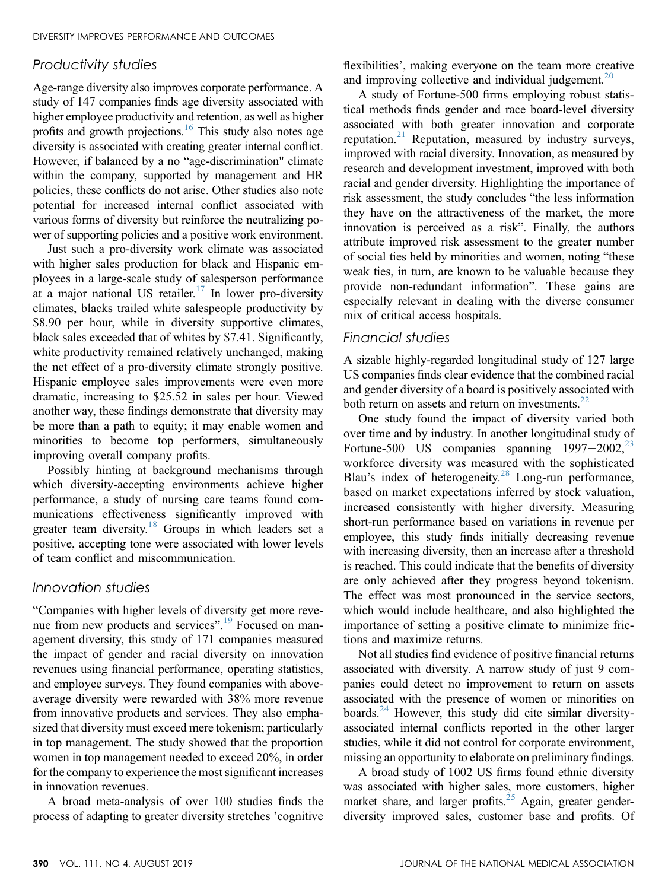#### Productivity studies

Age-range diversity also improves corporate performance. A study of 147 companies finds age diversity associated with higher employee productivity and retention, as well as higher profits and growth projections.<sup>16</sup> This study also notes age diversity is associated with creating greater internal conflict. However, if balanced by a no "age-discrimination" climate within the company, supported by management and HR policies, these conflicts do not arise. Other studies also note potential for increased internal conflict associated with various forms of diversity but reinforce the neutralizing power of supporting policies and a positive work environment.

Just such a pro-diversity work climate was associated with higher sales production for black and Hispanic employees in a large-scale study of salesperson performance at a major national US retailer.<sup>[17](#page-9-0)</sup> In lower pro-diversity climates, blacks trailed white salespeople productivity by \$8.90 per hour, while in diversity supportive climates, black sales exceeded that of whites by \$7.41. Significantly, white productivity remained relatively unchanged, making the net effect of a pro-diversity climate strongly positive. Hispanic employee sales improvements were even more dramatic, increasing to \$25.52 in sales per hour. Viewed another way, these findings demonstrate that diversity may be more than a path to equity; it may enable women and minorities to become top performers, simultaneously improving overall company profits.

Possibly hinting at background mechanisms through which diversity-accepting environments achieve higher performance, a study of nursing care teams found communications effectiveness significantly improved with greater team diversity.<sup>[18](#page-9-0)</sup> Groups in which leaders set a positive, accepting tone were associated with lower levels of team conflict and miscommunication.

#### Innovation studies

"Companies with higher levels of diversity get more reve-nue from new products and services".<sup>[19](#page-9-0)</sup> Focused on management diversity, this study of 171 companies measured the impact of gender and racial diversity on innovation revenues using financial performance, operating statistics, and employee surveys. They found companies with aboveaverage diversity were rewarded with 38% more revenue from innovative products and services. They also emphasized that diversity must exceed mere tokenism; particularly in top management. The study showed that the proportion women in top management needed to exceed 20%, in order for the company to experience the most significant increases in innovation revenues.

A broad meta-analysis of over 100 studies finds the process of adapting to greater diversity stretches 'cognitive

flexibilities', making everyone on the team more creative and improving collective and individual judgement.<sup>[20](#page-9-0)</sup>

A study of Fortune-500 firms employing robust statistical methods finds gender and race board-level diversity associated with both greater innovation and corporate reputation.<sup>[21](#page-9-0)</sup> Reputation, measured by industry surveys, improved with racial diversity. Innovation, as measured by research and development investment, improved with both racial and gender diversity. Highlighting the importance of risk assessment, the study concludes "the less information they have on the attractiveness of the market, the more innovation is perceived as a risk". Finally, the authors attribute improved risk assessment to the greater number of social ties held by minorities and women, noting "these weak ties, in turn, are known to be valuable because they provide non-redundant information". These gains are especially relevant in dealing with the diverse consumer mix of critical access hospitals.

#### Financial studies

A sizable highly-regarded longitudinal study of 127 large US companies finds clear evidence that the combined racial and gender diversity of a board is positively associated with both return on assets and return on investments.<sup>[22](#page-9-0)</sup>

One study found the impact of diversity varied both over time and by industry. In another longitudinal study of Fortune-500 US companies spanning  $1997-2002$ ,<sup>[23](#page-9-0)</sup> workforce diversity was measured with the sophisticated Blau's index of heterogeneity. $28$  Long-run performance, based on market expectations inferred by stock valuation, increased consistently with higher diversity. Measuring short-run performance based on variations in revenue per employee, this study finds initially decreasing revenue with increasing diversity, then an increase after a threshold is reached. This could indicate that the benefits of diversity are only achieved after they progress beyond tokenism. The effect was most pronounced in the service sectors, which would include healthcare, and also highlighted the importance of setting a positive climate to minimize frictions and maximize returns.

Not all studies find evidence of positive financial returns associated with diversity. A narrow study of just 9 companies could detect no improvement to return on assets associated with the presence of women or minorities on boards.<sup>24</sup> However, this study did cite similar diversityassociated internal conflicts reported in the other larger studies, while it did not control for corporate environment, missing an opportunity to elaborate on preliminary findings.

A broad study of 1002 US firms found ethnic diversity was associated with higher sales, more customers, higher market share, and larger profits.<sup>25</sup> Again, greater genderdiversity improved sales, customer base and profits. Of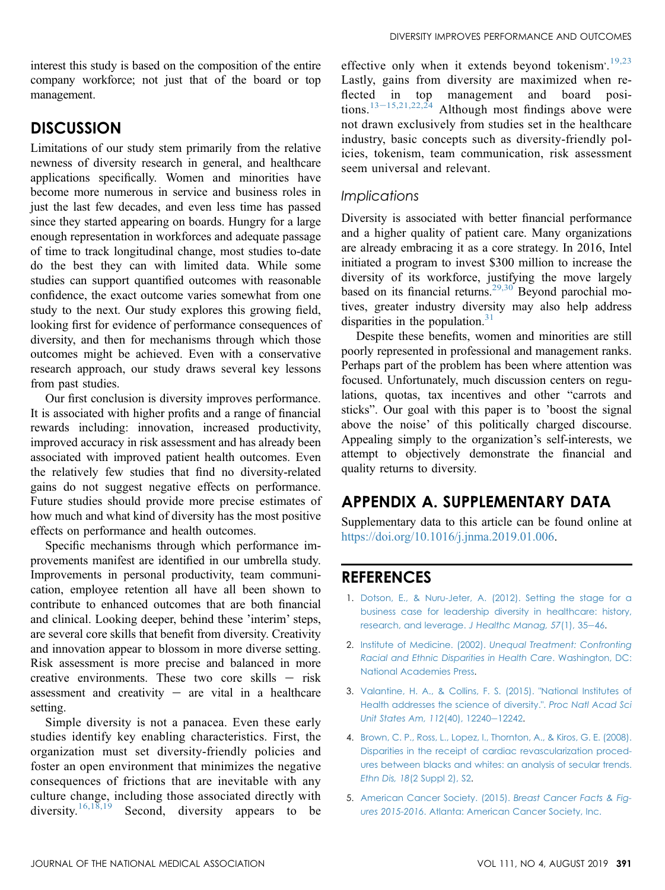<span id="page-8-0"></span>interest this study is based on the composition of the entire company workforce; not just that of the board or top management.

# **DISCUSSION**

Limitations of our study stem primarily from the relative newness of diversity research in general, and healthcare applications specifically. Women and minorities have become more numerous in service and business roles in just the last few decades, and even less time has passed since they started appearing on boards. Hungry for a large enough representation in workforces and adequate passage of time to track longitudinal change, most studies to-date do the best they can with limited data. While some studies can support quantified outcomes with reasonable confidence, the exact outcome varies somewhat from one study to the next. Our study explores this growing field, looking first for evidence of performance consequences of diversity, and then for mechanisms through which those outcomes might be achieved. Even with a conservative research approach, our study draws several key lessons from past studies.

Our first conclusion is diversity improves performance. It is associated with higher profits and a range of financial rewards including: innovation, increased productivity, improved accuracy in risk assessment and has already been associated with improved patient health outcomes. Even the relatively few studies that find no diversity-related gains do not suggest negative effects on performance. Future studies should provide more precise estimates of how much and what kind of diversity has the most positive effects on performance and health outcomes.

Specific mechanisms through which performance improvements manifest are identified in our umbrella study. Improvements in personal productivity, team communication, employee retention all have all been shown to contribute to enhanced outcomes that are both financial and clinical. Looking deeper, behind these 'interim' steps, are several core skills that benefit from diversity. Creativity and innovation appear to blossom in more diverse setting. Risk assessment is more precise and balanced in more creative environments. These two core skills  $-$  risk assessment and creativity  $-$  are vital in a healthcare setting.

Simple diversity is not a panacea. Even these early studies identify key enabling characteristics. First, the organization must set diversity-friendly policies and foster an open environment that minimizes the negative consequences of frictions that are inevitable with any culture change, including those associated directly with diversity.<sup>[16,18,19](#page-9-0)</sup> Second, diversity appears to be

effective only when it extends beyond tokenism'.<sup>[19,23](#page-9-0)</sup> Lastly, gains from diversity are maximized when reflected in top management and board posi-tions.<sup>[13](#page-9-0)-[15,21,22,24](#page-9-0)</sup> Although most findings above were not drawn exclusively from studies set in the healthcare industry, basic concepts such as diversity-friendly policies, tokenism, team communication, risk assessment seem universal and relevant.

#### Implications

Diversity is associated with better financial performance and a higher quality of patient care. Many organizations are already embracing it as a core strategy. In 2016, Intel initiated a program to invest \$300 million to increase the diversity of its workforce, justifying the move largely based on its financial returns.<sup>29,30</sup> Beyond parochial motives, greater industry diversity may also help address disparities in the population. $31$ 

Despite these benefits, women and minorities are still poorly represented in professional and management ranks. Perhaps part of the problem has been where attention was focused. Unfortunately, much discussion centers on regulations, quotas, tax incentives and other "carrots and sticks". Our goal with this paper is to 'boost the signal above the noise' of this politically charged discourse. Appealing simply to the organization's self-interests, we attempt to objectively demonstrate the financial and quality returns to diversity.

## APPENDIX A. SUPPLEMENTARY DATA

Supplementary data to this article can be found online at [https://doi.org/10.1016/j.jnma.2019.01.006.](https://doi.org/10.1016/j.jnma.2019.01.006)

## **REFERENCES**

- 1. [Dotson, E., & Nuru-Jeter, A. \(2012\). Setting the stage for a](http://refhub.elsevier.com/S0027-9684(18)30358-4/sref1) [business case for leadership diversity in healthcare: history,](http://refhub.elsevier.com/S0027-9684(18)30358-4/sref1) [research, and leverage.](http://refhub.elsevier.com/S0027-9684(18)30358-4/sref1) J Healthc Manag, 57(1), 35-[46](http://refhub.elsevier.com/S0027-9684(18)30358-4/sref1).
- 2. Institute of Medicine. (2002). [Unequal Treatment: Confronting](http://refhub.elsevier.com/S0027-9684(18)30358-4/sref2) [Racial and Ethnic Disparities in Health Care](http://refhub.elsevier.com/S0027-9684(18)30358-4/sref2). Washington, DC: [National Academies Press](http://refhub.elsevier.com/S0027-9684(18)30358-4/sref2).
- 3. [Valantine, H. A., & Collins, F. S. \(2015\). "National Institutes of](http://refhub.elsevier.com/S0027-9684(18)30358-4/sref3) [Health addresses the science of diversity.".](http://refhub.elsevier.com/S0027-9684(18)30358-4/sref3) Proc Natl Acad Sci [Unit States Am, 112](http://refhub.elsevier.com/S0027-9684(18)30358-4/sref3)(40), 12240-[12242.](http://refhub.elsevier.com/S0027-9684(18)30358-4/sref3)
- 4. [Brown, C. P., Ross, L., Lopez, I., Thornton, A., & Kiros, G. E. \(2008\).](http://refhub.elsevier.com/S0027-9684(18)30358-4/sref4) [Disparities in the receipt of cardiac revascularization proced](http://refhub.elsevier.com/S0027-9684(18)30358-4/sref4)[ures between blacks and whites: an analysis of secular trends.](http://refhub.elsevier.com/S0027-9684(18)30358-4/sref4) Ethn Dis, 18[\(2 Suppl 2\), S2](http://refhub.elsevier.com/S0027-9684(18)30358-4/sref4).
- 5. [American Cancer Society. \(2015\).](http://refhub.elsevier.com/S0027-9684(18)30358-4/sref5) Breast Cancer Facts & Figures 2015-2016[. Atlanta: American Cancer Society, Inc.](http://refhub.elsevier.com/S0027-9684(18)30358-4/sref5)